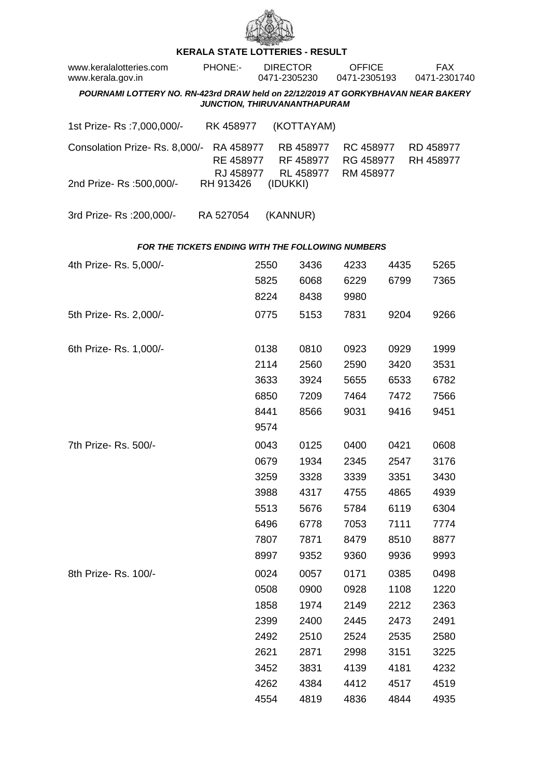

## **KERALA STATE LOTTERIES - RESULT**

| www.keralalotteries.com<br>www.kerala.gov.in                                     | PHONE:-                             | <b>DIRECTOR</b><br>0471-2305230 |          |                                     | <b>OFFICE</b><br>0471-2305193 |                                     |      |  | <b>FAX</b><br>0471-2301740 |
|----------------------------------------------------------------------------------|-------------------------------------|---------------------------------|----------|-------------------------------------|-------------------------------|-------------------------------------|------|--|----------------------------|
| POURNAMI LOTTERY NO. RN-423rd DRAW held on 22/12/2019 AT GORKYBHAVAN NEAR BAKERY | JUNCTION, THIRUVANANTHAPURAM        |                                 |          |                                     |                               |                                     |      |  |                            |
|                                                                                  |                                     |                                 |          |                                     |                               |                                     |      |  |                            |
| 1st Prize- Rs : 7,000,000/-                                                      | RK 458977                           |                                 |          | (KOTTAYAM)                          |                               |                                     |      |  |                            |
| Consolation Prize-Rs. 8,000/-                                                    | RA 458977<br>RE 458977<br>RJ 458977 |                                 |          | RB 458977<br>RF 458977<br>RL 458977 |                               | RC 458977<br>RG 458977<br>RM 458977 |      |  | RD 458977<br>RH 458977     |
| 2nd Prize-Rs :500,000/-                                                          | RH 913426                           |                                 | (IDUKKI) |                                     |                               |                                     |      |  |                            |
| 3rd Prize-Rs : 200,000/-                                                         | RA 527054                           |                                 | (KANNUR) |                                     |                               |                                     |      |  |                            |
| <b>FOR THE TICKETS ENDING WITH THE FOLLOWING NUMBERS</b>                         |                                     |                                 |          |                                     |                               |                                     |      |  |                            |
| 4th Prize-Rs. 5,000/-                                                            |                                     | 2550                            |          | 3436                                |                               | 4233                                | 4435 |  | 5265                       |
|                                                                                  |                                     | 5825                            |          | 6068                                |                               | 6229                                | 6799 |  | 7365                       |
|                                                                                  |                                     | 8224                            |          | 8438                                |                               | 9980                                |      |  |                            |
| 5th Prize-Rs. 2,000/-                                                            |                                     | 0775                            |          | 5153                                |                               | 7831                                | 9204 |  | 9266                       |
| 6th Prize-Rs. 1,000/-                                                            |                                     | 0138                            |          | 0810                                |                               | 0923                                | 0929 |  | 1999                       |
|                                                                                  |                                     | 2114                            |          | 2560                                |                               | 2590                                | 3420 |  | 3531                       |
|                                                                                  |                                     | 3633                            |          | 3924                                |                               | 5655                                | 6533 |  | 6782                       |
|                                                                                  |                                     | 6850                            |          | 7209                                |                               | 7464                                | 7472 |  | 7566                       |
|                                                                                  |                                     | 8441                            |          | 8566                                |                               | 9031                                | 9416 |  | 9451                       |
|                                                                                  |                                     | 9574                            |          |                                     |                               |                                     |      |  |                            |
| 7th Prize-Rs. 500/-                                                              |                                     | 0043                            |          | 0125                                |                               | 0400                                | 0421 |  | 0608                       |
|                                                                                  |                                     | 0679                            |          | 1934                                |                               | 2345                                | 2547 |  | 3176                       |
|                                                                                  |                                     | 3259                            |          | 3328                                |                               | 3339                                | 3351 |  | 3430                       |
|                                                                                  |                                     | 3988                            |          | 4317                                |                               | 4755                                | 4865 |  | 4939                       |
|                                                                                  |                                     | 5513                            |          | 5676                                |                               | 5784                                | 6119 |  | 6304                       |
|                                                                                  |                                     | 6496                            |          | 6778                                |                               | 7053                                | 7111 |  | 7774                       |
|                                                                                  |                                     | 7807                            |          | 7871                                |                               | 8479                                | 8510 |  | 8877                       |
|                                                                                  |                                     | 8997                            |          | 9352                                |                               | 9360                                | 9936 |  | 9993                       |
| 8th Prize-Rs. 100/-                                                              |                                     | 0024                            |          | 0057                                |                               | 0171                                | 0385 |  | 0498                       |
|                                                                                  |                                     | 0508                            |          | 0900                                |                               | 0928                                | 1108 |  | 1220                       |
|                                                                                  |                                     | 1858                            |          | 1974                                |                               | 2149                                | 2212 |  | 2363                       |
|                                                                                  |                                     | 2399                            |          | 2400                                |                               | 2445                                | 2473 |  | 2491                       |
|                                                                                  |                                     | 2492                            |          | 2510                                |                               | 2524                                | 2535 |  | 2580                       |
|                                                                                  |                                     | 2621                            |          | 2871                                |                               | 2998                                | 3151 |  | 3225                       |
|                                                                                  |                                     | 3452                            |          | 3831                                |                               | 4139                                | 4181 |  | 4232                       |
|                                                                                  |                                     | 4262                            |          | 4384                                |                               | 4412                                | 4517 |  | 4519                       |
|                                                                                  |                                     | 4554                            |          | 4819                                |                               | 4836                                | 4844 |  | 4935                       |